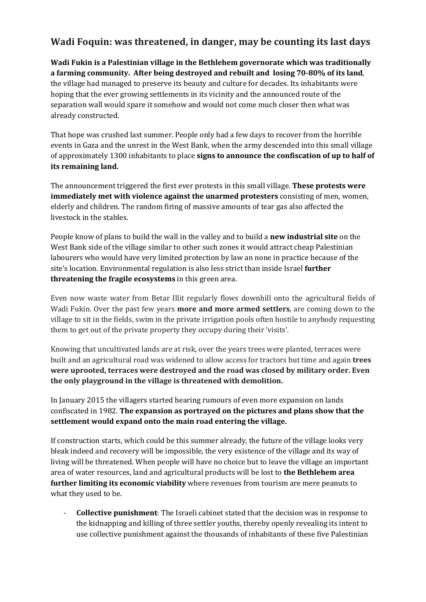## **Wadi Foquin: was threatened, in danger, may be counting its last days**

**Wadi Fukin is a Palestinian village in the Bethlehem governorate which was traditionally a farming community. After being destroyed and rebuilt and losing 70-80% of its land**, the village had managed to preserve its beauty and culture for decades. Its inhabitants were hoping that the ever growing settlements in its vicinity and the announced route of the separation wall would spare it somehow and would not come much closer then what was already constructed.

That hope was crushed last summer. People only had a few days to recover from the horrible events in Gaza and the unrest in the West Bank, when the army descended into this small village of approximately 1300 inhabitants to place **signs to announce the confiscation of up to half of its remaining land.** 

The announcement triggered the first ever protests in this small village. **These protests were immediately met with violence against the unarmed protesters** consisting of men, women, elderly and children. The random firing of massive amounts of tear gas also affected the livestock in the stables.

People know of plans to build the wall in the valley and to build a **new industrial site** on the West Bank side of the village similar to other such zones it would attract cheap Palestinian labourers who would have very limited protection by law an none in practice because of the site's location. Environmental regulation is also less strict than inside Israel **further threatening the fragile ecosystems** in this green area.

Even now waste water from Betar Illit regularly flows downhill onto the agricultural fields of Wadi Fukin. Over the past few years **more and more armed settlers**, are coming down to the village to sit in the fields, swim in the private irrigation pools often hostile to anybody requesting them to get out of the private property they occupy during their 'visits'.

Knowing that uncultivated lands are at risk, over the years trees were planted, terraces were built and an agricultural road was widened to allow access for tractors but time and again **trees were uprooted, terraces were destroyed and the road was closed by military order. Even the only playground in the village is threatened with demolition.** 

In January 2015 the villagers started hearing rumours of even more expansion on lands confiscated in 1982. **The expansion as portrayed on the pictures and plans show that the settlement would expand onto the main road entering the village.**

If construction starts, which could be this summer already, the future of the village looks very bleak indeed and recovery will be impossible, the very existence of the village and its way of living will be threatened. When people will have no choice but to leave the village an important area of water resources, land and agricultural products will be lost to **the Bethlehem area further limiting its economic viability** where revenues from tourism are mere peanuts to what they used to be.

- **Collective punishment**: The Israeli cabinet stated that the decision was in response to the kidnapping and killing of three settler youths, thereby openly revealing its intent to use collective punishment against the thousands of inhabitants of these five Palestinian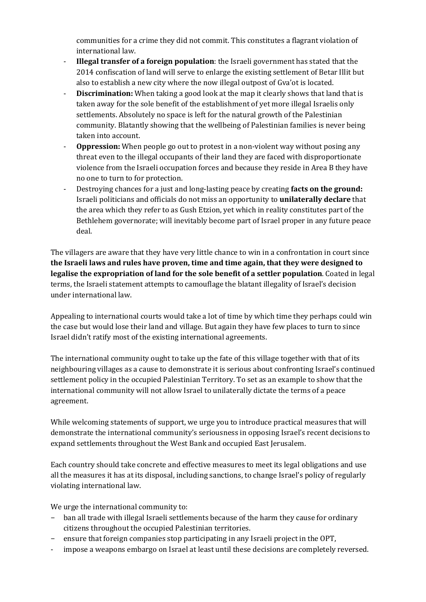communities for a crime they did not commit. This constitutes a flagrant violation of international law.

- **Illegal transfer of a foreign population**: the Israeli government has stated that the 2014 confiscation of land will serve to enlarge the existing settlement of Betar Illit but also to establish a new city where the now illegal outpost of Gva'ot is located.
- **Discrimination:** When taking a good look at the map it clearly shows that land that is taken away for the sole benefit of the establishment of yet more illegal Israelis only settlements. Absolutely no space is left for the natural growth of the Palestinian community. Blatantly showing that the wellbeing of Palestinian families is never being taken into account.
- **Oppression:** When people go out to protest in a non-violent way without posing any threat even to the illegal occupants of their land they are faced with disproportionate violence from the Israeli occupation forces and because they reside in Area B they have no one to turn to for protection.
- Destroying chances for a just and long-lasting peace by creating **facts on the ground:**  Israeli politicians and officials do not miss an opportunity to **unilaterally declare** that the area which they refer to as Gush Etzion, yet which in reality constitutes part of the Bethlehem governorate; will inevitably become part of Israel proper in any future peace deal.

The villagers are aware that they have very little chance to win in a confrontation in court since **the Israeli laws and rules have proven, time and time again, that they were designed to legalise the expropriation of land for the sole benefit of a settler population**. Coated in legal terms, the Israeli statement attempts to camouflage the blatant illegality of Israel's decision under international law.

Appealing to international courts would take a lot of time by which time they perhaps could win the case but would lose their land and village. But again they have few places to turn to since Israel didn't ratify most of the existing international agreements.

The international community ought to take up the fate of this village together with that of its neighbouring villages as a cause to demonstrate it is serious about confronting Israel's continued settlement policy in the occupied Palestinian Territory. To set as an example to show that the international community will not allow Israel to unilaterally dictate the terms of a peace agreement.

While welcoming statements of support, we urge you to introduce practical measures that will demonstrate the international community's seriousness in opposing Israel's recent decisions to expand settlements throughout the West Bank and occupied East Jerusalem.

Each country should take concrete and effective measures to meet its legal obligations and use all the measures it has at its disposal, including sanctions, to change Israel's policy of regularly violating international law.

We urge the international community to:

- ban all trade with illegal Israeli settlements because of the harm they cause for ordinary citizens throughout the occupied Palestinian territories.
- ensure that foreign companies stop participating in any Israeli project in the OPT,
- impose a weapons embargo on Israel at least until these decisions are completely reversed.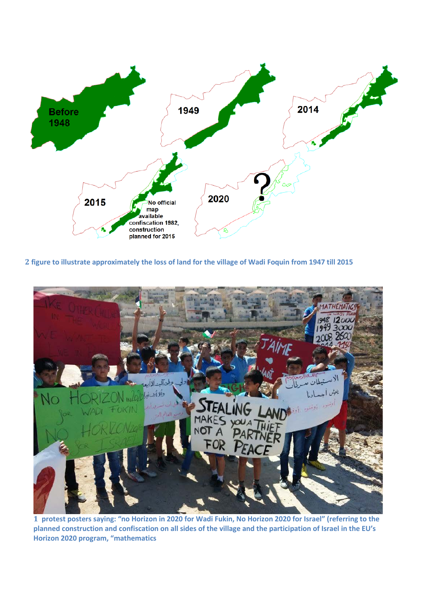

**2 figure to illustrate approximately the loss of land for the village of Wadi Foquin from 1947 till 2015**



**1 protest posters saying: "no Horizon in 2020 for Wadi Fukin, No Horizon 2020 for Israel" (referring to the planned construction and confiscation on all sides of the village and the participation of Israel in the EU's Horizon 2020 program, "mathematics**